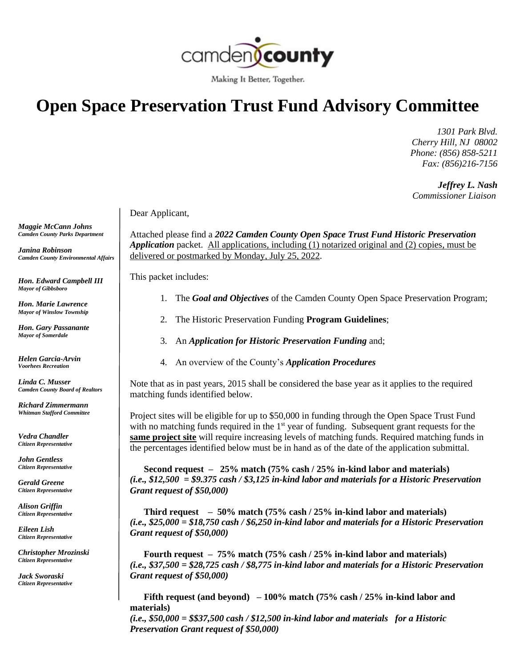

Making It Better, Together.

## **Open Space Preservation Trust Fund Advisory Committee**

 *1301 Park Blvd. Cherry Hill, NJ 08002 Phone: (856) 858-5211 Fax: (856)216-7156*

 *Jeffrey L. Nash Commissioner Liaison*

Dear Applicant,

Attached please find a *2022 Camden County Open Space Trust Fund Historic Preservation Application* packet. All applications, including (1) notarized original and (2) copies, must be delivered or postmarked by Monday, July 25, 2022.

This packet includes:

- 1. The *Goal and Objectives* of the Camden County Open Space Preservation Program;
- 2. The Historic Preservation Funding **Program Guidelines**;
- 3. An *Application for Historic Preservation Funding* and;
- 4. An overview of the County's *Application Procedures*

Note that as in past years, 2015 shall be considered the base year as it applies to the required matching funds identified below.

Project sites will be eligible for up to \$50,000 in funding through the Open Space Trust Fund with no matching funds required in the  $1<sup>st</sup>$  year of funding. Subsequent grant requests for the **same project site** will require increasing levels of matching funds. Required matching funds in the percentages identified below must be in hand as of the date of the application submittal.

 **Second request – 25% match (75% cash / 25% in-kind labor and materials)** *(i.e., \$12,500 = \$9.375 cash / \$3,125 in-kind labor and materials for a Historic Preservation Grant request of \$50,000)*

 **Third request – 50% match (75% cash / 25% in-kind labor and materials)** *(i.e., \$25,000 = \$18,750 cash / \$6,250 in-kind labor and materials for a Historic Preservation Grant request of \$50,000)*

 **Fourth request – 75% match (75% cash / 25% in-kind labor and materials)** *(i.e., \$37,500 = \$28,725 cash / \$8,775 in-kind labor and materials for a Historic Preservation Grant request of \$50,000)*

 **Fifth request (and beyond) – 100% match (75% cash / 25% in-kind labor and materials)**

*(i.e., \$50,000 = \$\$37,500 cash / \$12,500 in-kind labor and materials for a Historic Preservation Grant request of \$50,000)*

*Maggie McCann Johns Camden County Parks Department*

*Janina Robinson Camden County Environmental Affairs*

*Hon. Edward Campbell III Mayor of Gibbsboro*

*Hon. Marie Lawrence Mayor of Winslow Township*

*Hon. Gary Passanante Mayor of Somerdale*

*Helen Garcia-Arvin Voorhees Recreation*

*Linda C. Musser Camden County Board of Realtors*

*Richard Zimmermann Whitman Stafford Committee*

*Vedra Chandler Citizen Representative*

*John Gentless Citizen Representative*

*Gerald Greene Citizen Representative*

*Alison Griffin Citizen Representative*

*Eileen Lish Citizen Representative*

*Christopher Mrozinski Citizen Representative*

*Jack Sworaski Citizen Representative*